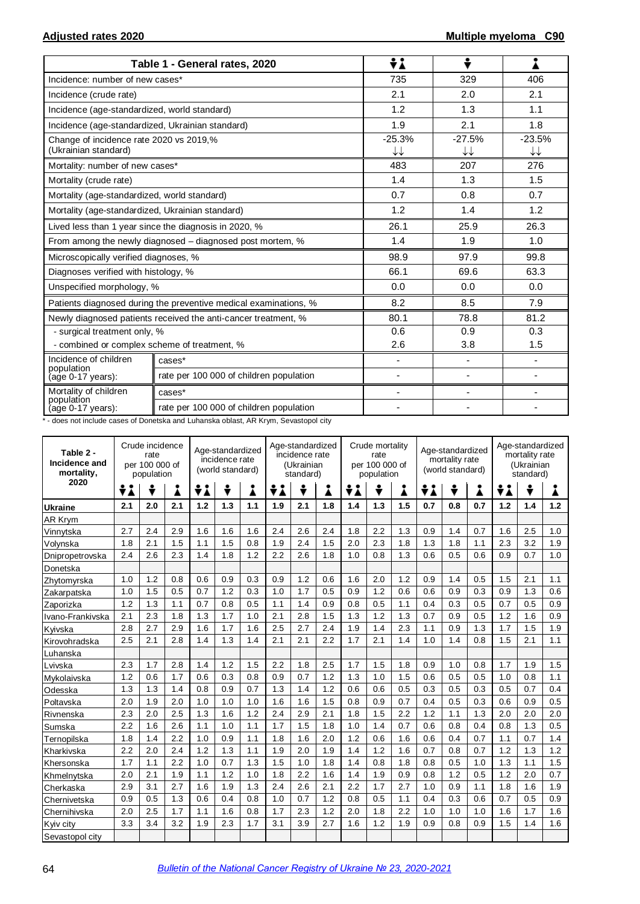|                                                                 | Table 1 - General rates, 2020                                    | ÷i                       | ÷                            |                |
|-----------------------------------------------------------------|------------------------------------------------------------------|--------------------------|------------------------------|----------------|
| Incidence: number of new cases*                                 |                                                                  | 735                      | 329                          | 406            |
| Incidence (crude rate)                                          |                                                                  | 2.1                      | 2.0                          | 2.1            |
| Incidence (age-standardized, world standard)                    |                                                                  | 1.2                      | 1.3                          | 1.1            |
| Incidence (age-standardized, Ukrainian standard)                |                                                                  | 1.9                      | 2.1                          | 1.8            |
| Change of incidence rate 2020 vs 2019,%<br>(Ukrainian standard) |                                                                  | $-25.3%$<br>↓↓           | $-27.5%$<br>↓↓               | $-23.5%$<br>↓↓ |
| Mortality: number of new cases*                                 |                                                                  | 483                      | 207                          | 276            |
| Mortality (crude rate)                                          |                                                                  | 1.4                      | 1.3                          | 1.5            |
| Mortality (age-standardized, world standard)                    |                                                                  | 0.7                      | 0.8                          | 0.7            |
| Mortality (age-standardized, Ukrainian standard)                |                                                                  | 1.2                      | 1.4                          | 1.2            |
|                                                                 | Lived less than 1 year since the diagnosis in 2020, %            | 26.1                     | 25.9                         | 26.3           |
|                                                                 | From among the newly diagnosed – diagnosed post mortem, %        | 1.4                      | 1.9                          | 1.0            |
| Microscopically verified diagnoses, %                           |                                                                  | 98.9                     | 97.9                         | 99.8           |
| Diagnoses verified with histology, %                            |                                                                  | 66.1                     | 69.6                         | 63.3           |
| Unspecified morphology, %                                       |                                                                  | 0.0                      | 0.0                          | 0.0            |
|                                                                 | Patients diagnosed during the preventive medical examinations, % | 8.2                      | 8.5                          | 7.9            |
|                                                                 | Newly diagnosed patients received the anti-cancer treatment, %   | 80.1                     | 78.8                         | 81.2           |
| - surgical treatment only, %                                    |                                                                  | 0.6                      | 0.9                          | 0.3            |
| - combined or complex scheme of treatment, %                    |                                                                  | 2.6                      | 3.8                          | 1.5            |
| Incidence of children<br>population                             | cases*                                                           | $\blacksquare$           | $\overline{\phantom{0}}$     |                |
| (age 0-17 years):                                               | rate per 100 000 of children population                          | $\overline{\phantom{0}}$ | $\qquad \qquad \blacksquare$ |                |
| Mortality of children                                           | cases*                                                           | $\overline{\phantom{a}}$ | $\qquad \qquad \blacksquare$ |                |
| population<br>(age 0-17 years):                                 | rate per 100 000 of children population                          |                          |                              |                |

\* - does not include cases of Donetska and Luhanska oblast, AR Krym, Sevastopol city

| Table 2 -<br>Incidence and<br>mortality, | Crude incidence<br>rate<br>per 100 000 of<br>population |     |     | Age-standardized<br>incidence rate<br>(world standard) |     |     | Age-standardized<br>incidence rate<br>(Ukrainian<br>standard) |     |     | Crude mortality<br>rate<br>per 100 000 of<br>population |     |     | Age-standardized<br>mortality rate<br>(world standard) |     |     | Age-standardized<br>mortality rate<br>(Ukrainian<br>standard) |     |     |
|------------------------------------------|---------------------------------------------------------|-----|-----|--------------------------------------------------------|-----|-----|---------------------------------------------------------------|-----|-----|---------------------------------------------------------|-----|-----|--------------------------------------------------------|-----|-----|---------------------------------------------------------------|-----|-----|
| 2020                                     | ÷i                                                      | ÷   | i   | ÷λ                                                     | ÷   | i   | ÷i                                                            | ÷   | i   | ÷i                                                      |     |     | ÷i                                                     | ÷   | Â   | ÷i                                                            | ÷   |     |
| <b>Ukraine</b>                           | 2.1                                                     | 2.0 | 2.1 | 1.2                                                    | 1.3 | 1.1 | 1.9                                                           | 2.1 | 1.8 | 1.4                                                     | 1.3 | 1.5 | 0.7                                                    | 0.8 | 0.7 | 1.2                                                           | 1.4 | 1.2 |
| <b>AR Krym</b>                           |                                                         |     |     |                                                        |     |     |                                                               |     |     |                                                         |     |     |                                                        |     |     |                                                               |     |     |
| Vinnytska                                | 2.7                                                     | 2.4 | 2.9 | 1.6                                                    | 1.6 | 1.6 | 2.4                                                           | 2.6 | 2.4 | 1.8                                                     | 2.2 | 1.3 | 0.9                                                    | 1.4 | 0.7 | 1.6                                                           | 2.5 | 1.0 |
| Volynska                                 | 1.8                                                     | 2.1 | 1.5 | 1.1                                                    | 1.5 | 0.8 | 1.9                                                           | 2.4 | 1.5 | 2.0                                                     | 2.3 | 1.8 | 1.3                                                    | 1.8 | 1.1 | 2.3                                                           | 3.2 | 1.9 |
| Dnipropetrovska                          | 2.4                                                     | 2.6 | 2.3 | 1.4                                                    | 1.8 | 1.2 | 2.2                                                           | 2.6 | 1.8 | 1.0                                                     | 0.8 | 1.3 | 0.6                                                    | 0.5 | 0.6 | 0.9                                                           | 0.7 | 1.0 |
| Donetska                                 |                                                         |     |     |                                                        |     |     |                                                               |     |     |                                                         |     |     |                                                        |     |     |                                                               |     |     |
| Zhytomyrska                              | 1.0                                                     | 1.2 | 0.8 | 0.6                                                    | 0.9 | 0.3 | 0.9                                                           | 1.2 | 0.6 | 1.6                                                     | 2.0 | 1.2 | 0.9                                                    | 1.4 | 0.5 | 1.5                                                           | 2.1 | 1.1 |
| Zakarpatska                              | 1.0                                                     | 1.5 | 0.5 | 0.7                                                    | 1.2 | 0.3 | 1.0                                                           | 1.7 | 0.5 | 0.9                                                     | 1.2 | 0.6 | 0.6                                                    | 0.9 | 0.3 | 0.9                                                           | 1.3 | 0.6 |
| Zaporizka                                | 1.2                                                     | 1.3 | 1.1 | 0.7                                                    | 0.8 | 0.5 | 1.1                                                           | 1.4 | 0.9 | 0.8                                                     | 0.5 | 1.1 | 0.4                                                    | 0.3 | 0.5 | 0.7                                                           | 0.5 | 0.9 |
| Ivano-Frankivska                         | 2.1                                                     | 2.3 | 1.8 | 1.3                                                    | 1.7 | 1.0 | 2.1                                                           | 2.8 | 1.5 | 1.3                                                     | 1.2 | 1.3 | 0.7                                                    | 0.9 | 0.5 | 1.2                                                           | 1.6 | 0.9 |
| Kyivska                                  | 2.8                                                     | 2.7 | 2.9 | 1.6                                                    | 1.7 | 1.6 | 2.5                                                           | 2.7 | 2.4 | 1.9                                                     | 1.4 | 2.3 | 1.1                                                    | 0.9 | 1.3 | 1.7                                                           | 1.5 | 1.9 |
| Kirovohradska                            | 2.5                                                     | 2.1 | 2.8 | 1.4                                                    | 1.3 | 1.4 | 2.1                                                           | 2.1 | 2.2 | 1.7                                                     | 2.1 | 1.4 | 1.0                                                    | 1.4 | 0.8 | 1.5                                                           | 2.1 | 1.1 |
| Luhanska                                 |                                                         |     |     |                                                        |     |     |                                                               |     |     |                                                         |     |     |                                                        |     |     |                                                               |     |     |
| Lvivska                                  | 2.3                                                     | 1.7 | 2.8 | 1.4                                                    | 1.2 | 1.5 | 2.2                                                           | 1.8 | 2.5 | 1.7                                                     | 1.5 | 1.8 | 0.9                                                    | 1.0 | 0.8 | 1.7                                                           | 1.9 | 1.5 |
| Mykolaivska                              | 1.2                                                     | 0.6 | 1.7 | 0.6                                                    | 0.3 | 0.8 | 0.9                                                           | 0.7 | 1.2 | 1.3                                                     | 1.0 | 1.5 | 0.6                                                    | 0.5 | 0.5 | 1.0                                                           | 0.8 | 1.1 |
| Odesska                                  | 1.3                                                     | 1.3 | 1.4 | 0.8                                                    | 0.9 | 0.7 | 1.3                                                           | 1.4 | 1.2 | 0.6                                                     | 0.6 | 0.5 | 0.3                                                    | 0.5 | 0.3 | 0.5                                                           | 0.7 | 0.4 |
| Poltavska                                | 2.0                                                     | 1.9 | 2.0 | 1.0                                                    | 1.0 | 1.0 | 1.6                                                           | 1.6 | 1.5 | 0.8                                                     | 0.9 | 0.7 | 0.4                                                    | 0.5 | 0.3 | 0.6                                                           | 0.9 | 0.5 |
| Rivnenska                                | 2.3                                                     | 2.0 | 2.5 | 1.3                                                    | 1.6 | 1.2 | 2.4                                                           | 2.9 | 2.1 | 1.8                                                     | 1.5 | 2.2 | 1.2                                                    | 1.1 | 1.3 | 2.0                                                           | 2.0 | 2.0 |
| Sumska                                   | 2.2                                                     | 1.6 | 2.6 | 1.1                                                    | 1.0 | 1.1 | 1.7                                                           | 1.5 | 1.8 | 1.0                                                     | 1.4 | 0.7 | 0.6                                                    | 0.8 | 0.4 | 0.8                                                           | 1.3 | 0.5 |
| Ternopilska                              | 1.8                                                     | 1.4 | 2.2 | 1.0                                                    | 0.9 | 1.1 | 1.8                                                           | 1.6 | 2.0 | 1.2                                                     | 0.6 | 1.6 | 0.6                                                    | 0.4 | 0.7 | 1.1                                                           | 0.7 | 1.4 |
| Kharkivska                               | 2.2                                                     | 2.0 | 2.4 | 1.2                                                    | 1.3 | 1.1 | 1.9                                                           | 2.0 | 1.9 | 1.4                                                     | 1.2 | 1.6 | 0.7                                                    | 0.8 | 0.7 | 1.2                                                           | 1.3 | 1.2 |
| Khersonska                               | 1.7                                                     | 1.1 | 2.2 | 1.0                                                    | 0.7 | 1.3 | 1.5                                                           | 1.0 | 1.8 | 1.4                                                     | 0.8 | 1.8 | 0.8                                                    | 0.5 | 1.0 | 1.3                                                           | 1.1 | 1.5 |
| Khmelnytska                              | 2.0                                                     | 2.1 | 1.9 | 1.1                                                    | 1.2 | 1.0 | 1.8                                                           | 2.2 | 1.6 | 1.4                                                     | 1.9 | 0.9 | 0.8                                                    | 1.2 | 0.5 | 1.2                                                           | 2.0 | 0.7 |
| Cherkaska                                | 2.9                                                     | 3.1 | 2.7 | 1.6                                                    | 1.9 | 1.3 | 2.4                                                           | 2.6 | 2.1 | 2.2                                                     | 1.7 | 2.7 | 1.0                                                    | 0.9 | 1.1 | 1.8                                                           | 1.6 | 1.9 |
| Chernivetska                             | 0.9                                                     | 0.5 | 1.3 | 0.6                                                    | 0.4 | 0.8 | 1.0                                                           | 0.7 | 1.2 | 0.8                                                     | 0.5 | 1.1 | 0.4                                                    | 0.3 | 0.6 | 0.7                                                           | 0.5 | 0.9 |
| Chernihivska                             | 2.0                                                     | 2.5 | 1.7 | 1.1                                                    | 1.6 | 0.8 | 1.7                                                           | 2.3 | 1.2 | 2.0                                                     | 1.8 | 2.2 | 1.0                                                    | 1.0 | 1.0 | 1.6                                                           | 1.7 | 1.6 |
| Kyiv city                                | 3.3                                                     | 3.4 | 3.2 | 1.9                                                    | 2.3 | 1.7 | 3.1                                                           | 3.9 | 2.7 | 1.6                                                     | 1.2 | 1.9 | 0.9                                                    | 0.8 | 0.9 | 1.5                                                           | 1.4 | 1.6 |
| Sevastopol city                          |                                                         |     |     |                                                        |     |     |                                                               |     |     |                                                         |     |     |                                                        |     |     |                                                               |     |     |